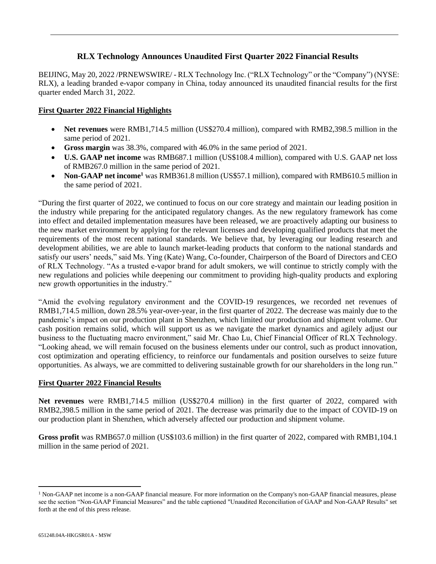# **RLX Technology Announces Unaudited First Quarter 2022 Financial Results**

BEIJING, May 20, 2022 /PRNEWSWIRE/ - RLX Technology Inc. ("RLX Technology" or the "Company") (NYSE: RLX), a leading branded e-vapor company in China, today announced its unaudited financial results for the first quarter ended March 31, 2022.

# **First Quarter 2022 Financial Highlights**

- Net revenues were RMB1,714.5 million (US\$270.4 million), compared with RMB2,398.5 million in the same period of 2021.
- **Gross margin** was 38.3%, compared with 46.0% in the same period of 2021.
- **U.S. GAAP net income** was RMB687.1 million (US\$108.4 million), compared with U.S. GAAP net loss of RMB267.0 million in the same period of 2021.
- **Non-GAAP net income<sup>1</sup> was RMB361.8 million (US\$57.1 million), compared with RMB610.5 million in** the same period of 2021.

"During the first quarter of 2022, we continued to focus on our core strategy and maintain our leading position in the industry while preparing for the anticipated regulatory changes. As the new regulatory framework has come into effect and detailed implementation measures have been released, we are proactively adapting our business to the new market environment by applying for the relevant licenses and developing qualified products that meet the requirements of the most recent national standards. We believe that, by leveraging our leading research and development abilities, we are able to launch market-leading products that conform to the national standards and satisfy our users' needs," said Ms. Ying (Kate) Wang, Co-founder, Chairperson of the Board of Directors and CEO of RLX Technology. "As a trusted e-vapor brand for adult smokers, we will continue to strictly comply with the new regulations and policies while deepening our commitment to providing high-quality products and exploring new growth opportunities in the industry."

"Amid the evolving regulatory environment and the COVID-19 resurgences, we recorded net revenues of RMB1,714.5 million, down 28.5% year-over-year, in the first quarter of 2022. The decrease was mainly due to the pandemic's impact on our production plant in Shenzhen, which limited our production and shipment volume. Our cash position remains solid, which will support us as we navigate the market dynamics and agilely adjust our business to the fluctuating macro environment," said Mr. Chao Lu, Chief Financial Officer of RLX Technology. "Looking ahead, we will remain focused on the business elements under our control, such as product innovation, cost optimization and operating efficiency, to reinforce our fundamentals and position ourselves to seize future opportunities. As always, we are committed to delivering sustainable growth for our shareholders in the long run."

## **First Quarter 2022 Financial Results**

**Net revenues** were RMB1,714.5 million (US\$270.4 million) in the first quarter of 2022, compared with RMB2,398.5 million in the same period of 2021. The decrease was primarily due to the impact of COVID-19 on our production plant in Shenzhen, which adversely affected our production and shipment volume.

**Gross profit** was RMB657.0 million (US\$103.6 million) in the first quarter of 2022, compared with RMB1,104.1 million in the same period of 2021.

<sup>&</sup>lt;sup>1</sup> Non-GAAP net income is a non-GAAP financial measure. For more information on the Company's non-GAAP financial measures, please see the section "Non-GAAP Financial Measures" and the table captioned "Unaudited Reconciliation of GAAP and Non-GAAP Results" set forth at the end of this press release.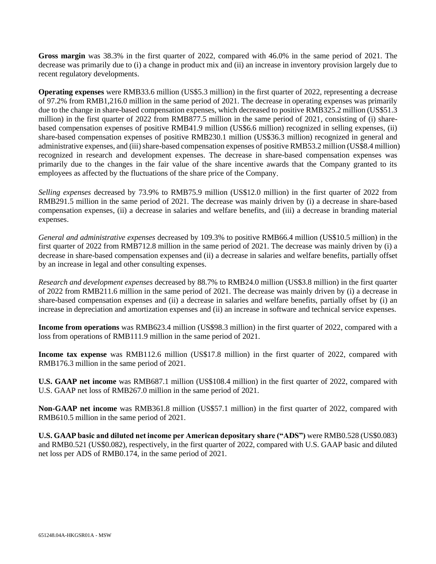**Gross margin** was 38.3% in the first quarter of 2022, compared with 46.0% in the same period of 2021. The decrease was primarily due to (i) a change in product mix and (ii) an increase in inventory provision largely due to recent regulatory developments.

**Operating expenses** were RMB33.6 million (US\$5.3 million) in the first quarter of 2022, representing a decrease of 97.2% from RMB1,216.0 million in the same period of 2021. The decrease in operating expenses was primarily due to the change in share-based compensation expenses, which decreased to positive RMB325.2 million (US\$51.3 million) in the first quarter of 2022 from RMB877.5 million in the same period of 2021, consisting of (i) sharebased compensation expenses of positive RMB41.9 million (US\$6.6 million) recognized in selling expenses, (ii) share-based compensation expenses of positive RMB230.1 million (US\$36.3 million) recognized in general and administrative expenses, and (iii) share-based compensation expenses of positive RMB53.2 million (US\$8.4 million) recognized in research and development expenses. The decrease in share-based compensation expenses was primarily due to the changes in the fair value of the share incentive awards that the Company granted to its employees as affected by the fluctuations of the share price of the Company.

*Selling expenses* decreased by 73.9% to RMB75.9 million (US\$12.0 million) in the first quarter of 2022 from RMB291.5 million in the same period of 2021. The decrease was mainly driven by (i) a decrease in share-based compensation expenses, (ii) a decrease in salaries and welfare benefits, and (iii) a decrease in branding material expenses.

*General and administrative expenses* decreased by 109.3% to positive RMB66.4 million (US\$10.5 million) in the first quarter of 2022 from RMB712.8 million in the same period of 2021. The decrease was mainly driven by (i) a decrease in share-based compensation expenses and (ii) a decrease in salaries and welfare benefits, partially offset by an increase in legal and other consulting expenses.

*Research and development expenses* decreased by 88.7% to RMB24.0 million (US\$3.8 million) in the first quarter of 2022 from RMB211.6 million in the same period of 2021. The decrease was mainly driven by (i) a decrease in share-based compensation expenses and (ii) a decrease in salaries and welfare benefits, partially offset by (i) an increase in depreciation and amortization expenses and (ii) an increase in software and technical service expenses.

**Income from operations** was RMB623.4 million (US\$98.3 million) in the first quarter of 2022, compared with a loss from operations of RMB111.9 million in the same period of 2021.

**Income tax expense** was RMB112.6 million (US\$17.8 million) in the first quarter of 2022, compared with RMB176.3 million in the same period of 2021.

**U.S. GAAP net income** was RMB687.1 million (US\$108.4 million) in the first quarter of 2022, compared with U.S. GAAP net loss of RMB267.0 million in the same period of 2021.

**Non-GAAP net income** was RMB361.8 million (US\$57.1 million) in the first quarter of 2022, compared with RMB610.5 million in the same period of 2021.

**U.S. GAAP basic and diluted net income per American depositary share ("ADS")** were RMB0.528 (US\$0.083) and RMB0.521 (US\$0.082), respectively, in the first quarter of 2022, compared with U.S. GAAP basic and diluted net loss per ADS of RMB0.174, in the same period of 2021.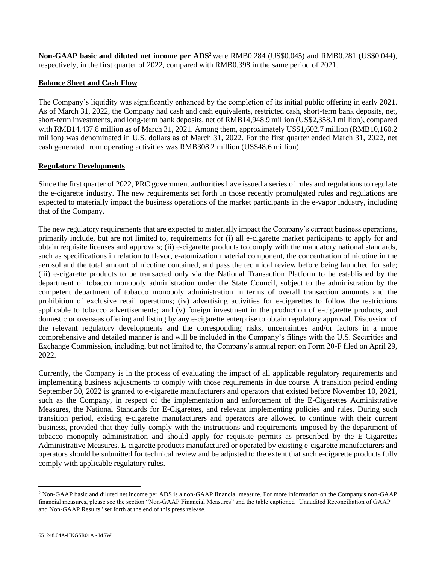**Non-GAAP basic and diluted net income per ADS<sup>2</sup>** were RMB0.284 (US\$0.045) and RMB0.281 (US\$0.044), respectively, in the first quarter of 2022, compared with RMB0.398 in the same period of 2021.

### **Balance Sheet and Cash Flow**

The Company's liquidity was significantly enhanced by the completion of its initial public offering in early 2021. As of March 31, 2022, the Company had cash and cash equivalents, restricted cash, short-term bank deposits, net, short-term investments, and long-term bank deposits, net of RMB14,948.9 million (US\$2,358.1 million), compared with RMB14,437.8 million as of March 31, 2021. Among them, approximately US\$1,602.7 million (RMB10,160.2) million) was denominated in U.S. dollars as of March 31, 2022. For the first quarter ended March 31, 2022, net cash generated from operating activities was RMB308.2 million (US\$48.6 million).

#### **Regulatory Developments**

Since the first quarter of 2022, PRC government authorities have issued a series of rules and regulations to regulate the e-cigarette industry. The new requirements set forth in those recently promulgated rules and regulations are expected to materially impact the business operations of the market participants in the e-vapor industry, including that of the Company.

The new regulatory requirements that are expected to materially impact the Company's current business operations, primarily include, but are not limited to, requirements for (i) all e-cigarette market participants to apply for and obtain requisite licenses and approvals; (ii) e-cigarette products to comply with the mandatory national standards, such as specifications in relation to flavor, e-atomization material component, the concentration of nicotine in the aerosol and the total amount of nicotine contained, and pass the technical review before being launched for sale; (iii) e-cigarette products to be transacted only via the National Transaction Platform to be established by the department of tobacco monopoly administration under the State Council, subject to the administration by the competent department of tobacco monopoly administration in terms of overall transaction amounts and the prohibition of exclusive retail operations; (iv) advertising activities for e-cigarettes to follow the restrictions applicable to tobacco advertisements; and (v) foreign investment in the production of e-cigarette products, and domestic or overseas offering and listing by any e-cigarette enterprise to obtain regulatory approval. Discussion of the relevant regulatory developments and the corresponding risks, uncertainties and/or factors in a more comprehensive and detailed manner is and will be included in the Company's filings with the U.S. Securities and Exchange Commission, including, but not limited to, the Company's annual report on Form 20-F filed on April 29, 2022.

Currently, the Company is in the process of evaluating the impact of all applicable regulatory requirements and implementing business adjustments to comply with those requirements in due course. A transition period ending September 30, 2022 is granted to e-cigarette manufacturers and operators that existed before November 10, 2021, such as the Company, in respect of the implementation and enforcement of the E-Cigarettes Administrative Measures, the National Standards for E-Cigarettes, and relevant implementing policies and rules. During such transition period, existing e-cigarette manufacturers and operators are allowed to continue with their current business, provided that they fully comply with the instructions and requirements imposed by the department of tobacco monopoly administration and should apply for requisite permits as prescribed by the E-Cigarettes Administrative Measures. E-cigarette products manufactured or operated by existing e-cigarette manufacturers and operators should be submitted for technical review and be adjusted to the extent that such e-cigarette products fully comply with applicable regulatory rules.

<sup>2</sup> Non-GAAP basic and diluted net income per ADS is a non-GAAP financial measure. For more information on the Company's non-GAAP financial measures, please see the section "Non-GAAP Financial Measures" and the table captioned "Unaudited Reconciliation of GAAP and Non-GAAP Results" set forth at the end of this press release.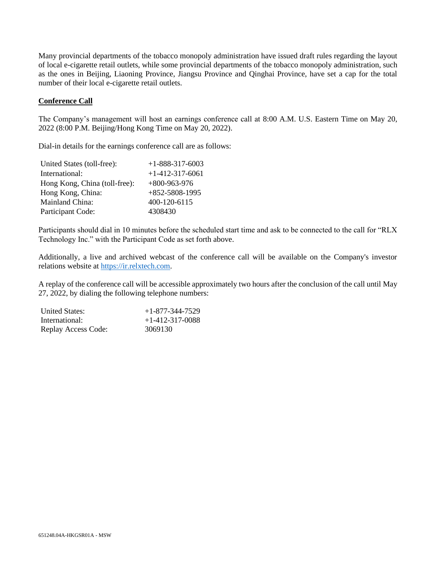Many provincial departments of the tobacco monopoly administration have issued draft rules regarding the layout of local e-cigarette retail outlets, while some provincial departments of the tobacco monopoly administration, such as the ones in Beijing, Liaoning Province, Jiangsu Province and Qinghai Province, have set a cap for the total number of their local e-cigarette retail outlets.

#### **Conference Call**

The Company's management will host an earnings conference call at 8:00 A.M. U.S. Eastern Time on May 20, 2022 (8:00 P.M. Beijing/Hong Kong Time on May 20, 2022).

Dial-in details for the earnings conference call are as follows:

| United States (toll-free):    | $+1 - 888 - 317 - 6003$ |
|-------------------------------|-------------------------|
| International:                | $+1-412-317-6061$       |
| Hong Kong, China (toll-free): | $+800-963-976$          |
| Hong Kong, China:             | $+852-5808-1995$        |
| Mainland China:               | 400-120-6115            |
| Participant Code:             | 4308430                 |

Participants should dial in 10 minutes before the scheduled start time and ask to be connected to the call for "RLX Technology Inc." with the Participant Code as set forth above.

Additionally, a live and archived webcast of the conference call will be available on the Company's investor relations website at [https://ir.relxtech.com.](https://ir.relxtech.com/)

A replay of the conference call will be accessible approximately two hours after the conclusion of the call until May 27, 2022, by dialing the following telephone numbers:

| <b>United States:</b> | $+1 - 877 - 344 - 7529$ |  |  |  |
|-----------------------|-------------------------|--|--|--|
| International:        | $+1 - 412 - 317 - 0088$ |  |  |  |
| Replay Access Code:   | 3069130                 |  |  |  |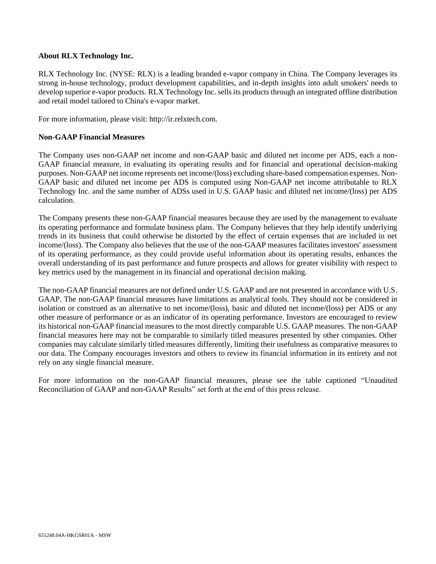#### **About RLX Technology Inc.**

RLX Technology Inc. (NYSE: RLX) is a leading branded e-vapor company in China. The Company leverages its strong in-house technology, product development capabilities, and in-depth insights into adult smokers' needs to develop superior e-vapor products. RLX Technology Inc. sells its products through an integrated offline distribution and retail model tailored to China's e-vapor market.

For more information, please visit: http://ir.relxtech.com.

### **Non-GAAP Financial Measures**

The Company uses non-GAAP net income and non-GAAP basic and diluted net income per ADS, each a non-GAAP financial measure, in evaluating its operating results and for financial and operational decision-making purposes. Non-GAAP net income represents net income/(loss) excluding share-based compensation expenses. Non-GAAP basic and diluted net income per ADS is computed using Non-GAAP net income attributable to RLX Technology Inc. and the same number of ADSs used in U.S. GAAP basic and diluted net income/(loss) per ADS calculation.

The Company presents these non-GAAP financial measures because they are used by the management to evaluate its operating performance and formulate business plans. The Company believes that they help identify underlying trends in its business that could otherwise be distorted by the effect of certain expenses that are included in net income/(loss). The Company also believes that the use of the non-GAAP measures facilitates investors' assessment of its operating performance, as they could provide useful information about its operating results, enhances the overall understanding of its past performance and future prospects and allows for greater visibility with respect to key metrics used by the management in its financial and operational decision making.

The non-GAAP financial measures are not defined under U.S. GAAP and are not presented in accordance with U.S. GAAP. The non-GAAP financial measures have limitations as analytical tools. They should not be considered in isolation or construed as an alternative to net income/(loss), basic and diluted net income/(loss) per ADS or any other measure of performance or as an indicator of its operating performance. Investors are encouraged to review its historical non-GAAP financial measures to the most directly comparable U.S. GAAP measures. The non-GAAP financial measures here may not be comparable to similarly titled measures presented by other companies. Other companies may calculate similarly titled measures differently, limiting their usefulness as comparative measures to our data. The Company encourages investors and others to review its financial information in its entirety and not rely on any single financial measure.

For more information on the non-GAAP financial measures, please see the table captioned "Unaudited Reconciliation of GAAP and non-GAAP Results" set forth at the end of this press release.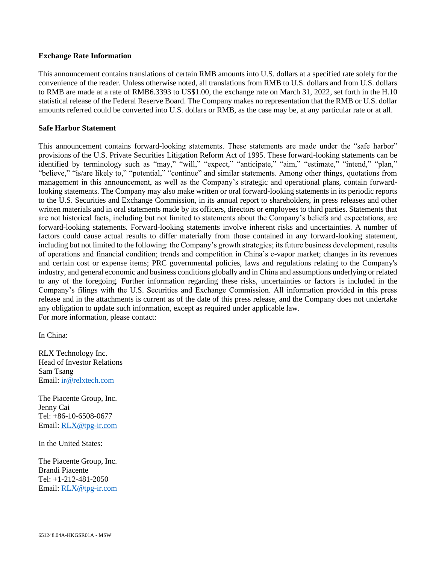#### **Exchange Rate Information**

This announcement contains translations of certain RMB amounts into U.S. dollars at a specified rate solely for the convenience of the reader. Unless otherwise noted, all translations from RMB to U.S. dollars and from U.S. dollars to RMB are made at a rate of RMB6.3393 to US\$1.00, the exchange rate on March 31, 2022, set forth in the H.10 statistical release of the Federal Reserve Board. The Company makes no representation that the RMB or U.S. dollar amounts referred could be converted into U.S. dollars or RMB, as the case may be, at any particular rate or at all.

#### **Safe Harbor Statement**

This announcement contains forward-looking statements. These statements are made under the "safe harbor" provisions of the U.S. Private Securities Litigation Reform Act of 1995. These forward-looking statements can be identified by terminology such as "may," "will," "expect," "anticipate," "aim," "estimate," "intend," "plan," "believe," "is/are likely to," "potential," "continue" and similar statements. Among other things, quotations from management in this announcement, as well as the Company's strategic and operational plans, contain forwardlooking statements. The Company may also make written or oral forward-looking statements in its periodic reports to the U.S. Securities and Exchange Commission, in its annual report to shareholders, in press releases and other written materials and in oral statements made by its officers, directors or employees to third parties. Statements that are not historical facts, including but not limited to statements about the Company's beliefs and expectations, are forward-looking statements. Forward-looking statements involve inherent risks and uncertainties. A number of factors could cause actual results to differ materially from those contained in any forward-looking statement, including but not limited to the following: the Company's growth strategies; its future business development, results of operations and financial condition; trends and competition in China's e-vapor market; changes in its revenues and certain cost or expense items; PRC governmental policies, laws and regulations relating to the Company's industry, and general economic and business conditions globally and in China and assumptions underlying or related to any of the foregoing. Further information regarding these risks, uncertainties or factors is included in the Company's filings with the U.S. Securities and Exchange Commission. All information provided in this press release and in the attachments is current as of the date of this press release, and the Company does not undertake any obligation to update such information, except as required under applicable law. For more information, please contact:

In China:

RLX Technology Inc. Head of Investor Relations Sam Tsang Email: [ir@relxtech.com](mailto:ir@relxtech.com)

The Piacente Group, Inc. Jenny Cai Tel: +86-10-6508-0677 Email: [RLX@tpg-ir.com](mailto:RLX@tpg-ir.com)

In the United States:

The Piacente Group, Inc. Brandi Piacente Tel: +1-212-481-2050 Email: [RLX@tpg-ir.com](mailto:RLX@tpg-ir.com)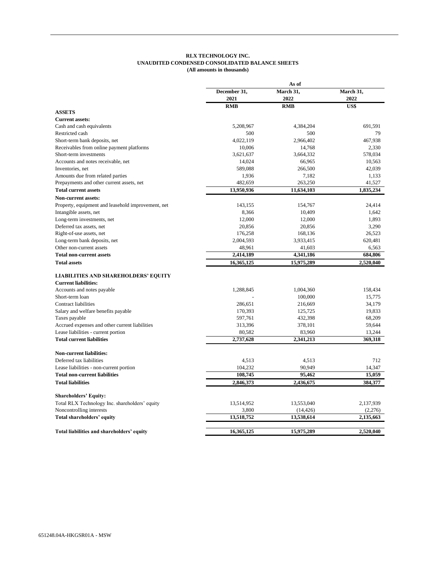#### **RLX TECHNOLOGY INC. UNAUDITED CONDENSED CONSOLIDATED BALANCE SHEETS (All amounts in thousands)**

| As of<br>December 31,<br>March 31,<br>March 31,<br>2021<br>2022<br>2022<br>US\$<br><b>RMB</b><br><b>RMB</b><br><b>ASSETS</b><br><b>Current assets:</b><br>5,208,967<br>4,384,204<br>691,591<br>Cash and cash equivalents<br>Restricted cash<br>500<br>500<br>79<br>Short-term bank deposits, net<br>4,022,119<br>2,966,402<br>467,938<br>Receivables from online payment platforms<br>10,006<br>14,768<br>2,330<br>3,621,637<br>3,664,332<br>578,034<br>Short-term investments<br>Accounts and notes receivable, net<br>14,024<br>66,965<br>10,563<br>589,088<br>266,500<br>42,039<br>Inventories, net<br>7,182<br>1,133<br>Amounts due from related parties<br>1,936<br>263,250<br>41,527<br>Prepayments and other current assets, net<br>482,659<br>1,835,234<br>13,950,936<br>11,634,103<br><b>Total current assets</b><br><b>Non-current assets:</b><br>Property, equipment and leasehold improvement, net<br>143,155<br>154,767<br>24,414<br>Intangible assets, net<br>8,366<br>10,409<br>1,642<br>12,000<br>12,000<br>1,893<br>Long-term investments, net<br>20,856<br>20,856<br>3,290<br>Deferred tax assets, net<br>Right-of-use assets, net<br>176,258<br>168,136<br>26,523<br>Long-term bank deposits, net<br>2,004,593<br>3,933,415<br>620,481<br>48,961<br>Other non-current assets<br>41,603<br>6,563<br>2,414,189<br>4,341,186<br>684,806<br><b>Total non-current assets</b><br>16,365,125<br>15,975,289<br>2,520,040<br><b>Total assets</b><br><b>LIABILITIES AND SHAREHOLDERS' EQUITY</b> |
|-----------------------------------------------------------------------------------------------------------------------------------------------------------------------------------------------------------------------------------------------------------------------------------------------------------------------------------------------------------------------------------------------------------------------------------------------------------------------------------------------------------------------------------------------------------------------------------------------------------------------------------------------------------------------------------------------------------------------------------------------------------------------------------------------------------------------------------------------------------------------------------------------------------------------------------------------------------------------------------------------------------------------------------------------------------------------------------------------------------------------------------------------------------------------------------------------------------------------------------------------------------------------------------------------------------------------------------------------------------------------------------------------------------------------------------------------------------------------------------------------------------|
|                                                                                                                                                                                                                                                                                                                                                                                                                                                                                                                                                                                                                                                                                                                                                                                                                                                                                                                                                                                                                                                                                                                                                                                                                                                                                                                                                                                                                                                                                                           |
|                                                                                                                                                                                                                                                                                                                                                                                                                                                                                                                                                                                                                                                                                                                                                                                                                                                                                                                                                                                                                                                                                                                                                                                                                                                                                                                                                                                                                                                                                                           |
|                                                                                                                                                                                                                                                                                                                                                                                                                                                                                                                                                                                                                                                                                                                                                                                                                                                                                                                                                                                                                                                                                                                                                                                                                                                                                                                                                                                                                                                                                                           |
|                                                                                                                                                                                                                                                                                                                                                                                                                                                                                                                                                                                                                                                                                                                                                                                                                                                                                                                                                                                                                                                                                                                                                                                                                                                                                                                                                                                                                                                                                                           |
|                                                                                                                                                                                                                                                                                                                                                                                                                                                                                                                                                                                                                                                                                                                                                                                                                                                                                                                                                                                                                                                                                                                                                                                                                                                                                                                                                                                                                                                                                                           |
|                                                                                                                                                                                                                                                                                                                                                                                                                                                                                                                                                                                                                                                                                                                                                                                                                                                                                                                                                                                                                                                                                                                                                                                                                                                                                                                                                                                                                                                                                                           |
|                                                                                                                                                                                                                                                                                                                                                                                                                                                                                                                                                                                                                                                                                                                                                                                                                                                                                                                                                                                                                                                                                                                                                                                                                                                                                                                                                                                                                                                                                                           |
|                                                                                                                                                                                                                                                                                                                                                                                                                                                                                                                                                                                                                                                                                                                                                                                                                                                                                                                                                                                                                                                                                                                                                                                                                                                                                                                                                                                                                                                                                                           |
|                                                                                                                                                                                                                                                                                                                                                                                                                                                                                                                                                                                                                                                                                                                                                                                                                                                                                                                                                                                                                                                                                                                                                                                                                                                                                                                                                                                                                                                                                                           |
|                                                                                                                                                                                                                                                                                                                                                                                                                                                                                                                                                                                                                                                                                                                                                                                                                                                                                                                                                                                                                                                                                                                                                                                                                                                                                                                                                                                                                                                                                                           |
|                                                                                                                                                                                                                                                                                                                                                                                                                                                                                                                                                                                                                                                                                                                                                                                                                                                                                                                                                                                                                                                                                                                                                                                                                                                                                                                                                                                                                                                                                                           |
|                                                                                                                                                                                                                                                                                                                                                                                                                                                                                                                                                                                                                                                                                                                                                                                                                                                                                                                                                                                                                                                                                                                                                                                                                                                                                                                                                                                                                                                                                                           |
|                                                                                                                                                                                                                                                                                                                                                                                                                                                                                                                                                                                                                                                                                                                                                                                                                                                                                                                                                                                                                                                                                                                                                                                                                                                                                                                                                                                                                                                                                                           |
|                                                                                                                                                                                                                                                                                                                                                                                                                                                                                                                                                                                                                                                                                                                                                                                                                                                                                                                                                                                                                                                                                                                                                                                                                                                                                                                                                                                                                                                                                                           |
|                                                                                                                                                                                                                                                                                                                                                                                                                                                                                                                                                                                                                                                                                                                                                                                                                                                                                                                                                                                                                                                                                                                                                                                                                                                                                                                                                                                                                                                                                                           |
|                                                                                                                                                                                                                                                                                                                                                                                                                                                                                                                                                                                                                                                                                                                                                                                                                                                                                                                                                                                                                                                                                                                                                                                                                                                                                                                                                                                                                                                                                                           |
|                                                                                                                                                                                                                                                                                                                                                                                                                                                                                                                                                                                                                                                                                                                                                                                                                                                                                                                                                                                                                                                                                                                                                                                                                                                                                                                                                                                                                                                                                                           |
|                                                                                                                                                                                                                                                                                                                                                                                                                                                                                                                                                                                                                                                                                                                                                                                                                                                                                                                                                                                                                                                                                                                                                                                                                                                                                                                                                                                                                                                                                                           |
|                                                                                                                                                                                                                                                                                                                                                                                                                                                                                                                                                                                                                                                                                                                                                                                                                                                                                                                                                                                                                                                                                                                                                                                                                                                                                                                                                                                                                                                                                                           |
|                                                                                                                                                                                                                                                                                                                                                                                                                                                                                                                                                                                                                                                                                                                                                                                                                                                                                                                                                                                                                                                                                                                                                                                                                                                                                                                                                                                                                                                                                                           |
|                                                                                                                                                                                                                                                                                                                                                                                                                                                                                                                                                                                                                                                                                                                                                                                                                                                                                                                                                                                                                                                                                                                                                                                                                                                                                                                                                                                                                                                                                                           |
|                                                                                                                                                                                                                                                                                                                                                                                                                                                                                                                                                                                                                                                                                                                                                                                                                                                                                                                                                                                                                                                                                                                                                                                                                                                                                                                                                                                                                                                                                                           |
|                                                                                                                                                                                                                                                                                                                                                                                                                                                                                                                                                                                                                                                                                                                                                                                                                                                                                                                                                                                                                                                                                                                                                                                                                                                                                                                                                                                                                                                                                                           |
|                                                                                                                                                                                                                                                                                                                                                                                                                                                                                                                                                                                                                                                                                                                                                                                                                                                                                                                                                                                                                                                                                                                                                                                                                                                                                                                                                                                                                                                                                                           |
|                                                                                                                                                                                                                                                                                                                                                                                                                                                                                                                                                                                                                                                                                                                                                                                                                                                                                                                                                                                                                                                                                                                                                                                                                                                                                                                                                                                                                                                                                                           |
|                                                                                                                                                                                                                                                                                                                                                                                                                                                                                                                                                                                                                                                                                                                                                                                                                                                                                                                                                                                                                                                                                                                                                                                                                                                                                                                                                                                                                                                                                                           |
| <b>Current liabilities:</b>                                                                                                                                                                                                                                                                                                                                                                                                                                                                                                                                                                                                                                                                                                                                                                                                                                                                                                                                                                                                                                                                                                                                                                                                                                                                                                                                                                                                                                                                               |
| 1,288,845<br>158,434<br>Accounts and notes payable<br>1,004,360                                                                                                                                                                                                                                                                                                                                                                                                                                                                                                                                                                                                                                                                                                                                                                                                                                                                                                                                                                                                                                                                                                                                                                                                                                                                                                                                                                                                                                           |
| Short-term loan<br>100,000<br>15,775                                                                                                                                                                                                                                                                                                                                                                                                                                                                                                                                                                                                                                                                                                                                                                                                                                                                                                                                                                                                                                                                                                                                                                                                                                                                                                                                                                                                                                                                      |
| Contract liabilities<br>286,651<br>34,179<br>216,669                                                                                                                                                                                                                                                                                                                                                                                                                                                                                                                                                                                                                                                                                                                                                                                                                                                                                                                                                                                                                                                                                                                                                                                                                                                                                                                                                                                                                                                      |
| 170,393<br>125,725<br>19,833<br>Salary and welfare benefits payable                                                                                                                                                                                                                                                                                                                                                                                                                                                                                                                                                                                                                                                                                                                                                                                                                                                                                                                                                                                                                                                                                                                                                                                                                                                                                                                                                                                                                                       |
| Taxes payable<br>597,761<br>432,398<br>68,209                                                                                                                                                                                                                                                                                                                                                                                                                                                                                                                                                                                                                                                                                                                                                                                                                                                                                                                                                                                                                                                                                                                                                                                                                                                                                                                                                                                                                                                             |
| Accrued expenses and other current liabilities<br>313,396<br>378,101<br>59,644                                                                                                                                                                                                                                                                                                                                                                                                                                                                                                                                                                                                                                                                                                                                                                                                                                                                                                                                                                                                                                                                                                                                                                                                                                                                                                                                                                                                                            |
| Lease liabilities - current portion<br>80,582<br>83,960<br>13,244                                                                                                                                                                                                                                                                                                                                                                                                                                                                                                                                                                                                                                                                                                                                                                                                                                                                                                                                                                                                                                                                                                                                                                                                                                                                                                                                                                                                                                         |
| <b>Total current liabilities</b><br>2,737,628<br>2,341,213<br>369,318                                                                                                                                                                                                                                                                                                                                                                                                                                                                                                                                                                                                                                                                                                                                                                                                                                                                                                                                                                                                                                                                                                                                                                                                                                                                                                                                                                                                                                     |
| <b>Non-current liabilities:</b>                                                                                                                                                                                                                                                                                                                                                                                                                                                                                                                                                                                                                                                                                                                                                                                                                                                                                                                                                                                                                                                                                                                                                                                                                                                                                                                                                                                                                                                                           |
| Deferred tax liabilities<br>4.513<br>712<br>4,513                                                                                                                                                                                                                                                                                                                                                                                                                                                                                                                                                                                                                                                                                                                                                                                                                                                                                                                                                                                                                                                                                                                                                                                                                                                                                                                                                                                                                                                         |
| Lease liabilities - non-current portion<br>104,232<br>90.949<br>14.347                                                                                                                                                                                                                                                                                                                                                                                                                                                                                                                                                                                                                                                                                                                                                                                                                                                                                                                                                                                                                                                                                                                                                                                                                                                                                                                                                                                                                                    |
| <b>Total non-current liabilities</b><br>108,745<br>95,462<br>15,059                                                                                                                                                                                                                                                                                                                                                                                                                                                                                                                                                                                                                                                                                                                                                                                                                                                                                                                                                                                                                                                                                                                                                                                                                                                                                                                                                                                                                                       |
|                                                                                                                                                                                                                                                                                                                                                                                                                                                                                                                                                                                                                                                                                                                                                                                                                                                                                                                                                                                                                                                                                                                                                                                                                                                                                                                                                                                                                                                                                                           |
| <b>Total liabilities</b><br>2,846,373<br>2,436,675<br>384,377                                                                                                                                                                                                                                                                                                                                                                                                                                                                                                                                                                                                                                                                                                                                                                                                                                                                                                                                                                                                                                                                                                                                                                                                                                                                                                                                                                                                                                             |
| <b>Shareholders' Equity:</b>                                                                                                                                                                                                                                                                                                                                                                                                                                                                                                                                                                                                                                                                                                                                                                                                                                                                                                                                                                                                                                                                                                                                                                                                                                                                                                                                                                                                                                                                              |
| Total RLX Technology Inc. shareholders' equity<br>13,514,952<br>13,553,040<br>2,137,939                                                                                                                                                                                                                                                                                                                                                                                                                                                                                                                                                                                                                                                                                                                                                                                                                                                                                                                                                                                                                                                                                                                                                                                                                                                                                                                                                                                                                   |
| Noncontrolling interests<br>3,800<br>(14, 426)<br>(2,276)                                                                                                                                                                                                                                                                                                                                                                                                                                                                                                                                                                                                                                                                                                                                                                                                                                                                                                                                                                                                                                                                                                                                                                                                                                                                                                                                                                                                                                                 |
| Total shareholders' equity<br>13,518,752<br>13,538,614<br>2,135,663                                                                                                                                                                                                                                                                                                                                                                                                                                                                                                                                                                                                                                                                                                                                                                                                                                                                                                                                                                                                                                                                                                                                                                                                                                                                                                                                                                                                                                       |
| 16,365,125<br>15,975,289<br>2.520.040<br>Total liabilities and shareholders' equity                                                                                                                                                                                                                                                                                                                                                                                                                                                                                                                                                                                                                                                                                                                                                                                                                                                                                                                                                                                                                                                                                                                                                                                                                                                                                                                                                                                                                       |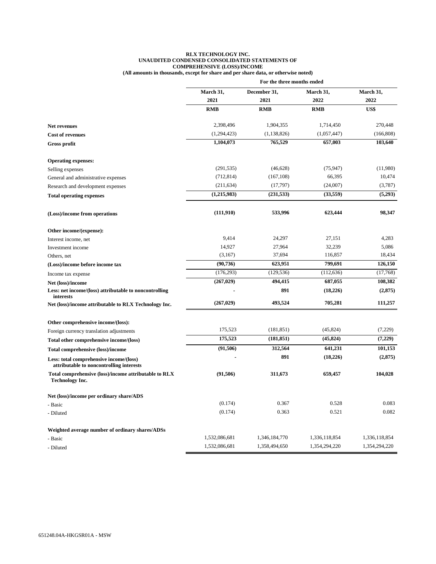#### **RLX TECHNOLOGY INC. UNAUDITED CONDENSED CONSOLIDATED STATEMENTS OF COMPREHENSIVE (LOSS)/INCOME**

**(All amounts in thousands, except for share and per share data, or otherwise noted)**

|                                                                                     | For the three months ended |                      |                   |                   |
|-------------------------------------------------------------------------------------|----------------------------|----------------------|-------------------|-------------------|
|                                                                                     | March 31,<br>2021          | December 31,<br>2021 | March 31,<br>2022 | March 31,<br>2022 |
|                                                                                     | <b>RMB</b>                 | <b>RMB</b>           | <b>RMB</b>        | US\$              |
| <b>Net revenues</b>                                                                 | 2,398,496                  | 1,904,355            | 1,714,450         | 270,448           |
| <b>Cost of revenues</b>                                                             | (1,294,423)                | (1, 138, 826)        | (1,057,447)       | (166, 808)        |
| <b>Gross profit</b>                                                                 | 1,104,073                  | 765,529              | 657,003           | 103,640           |
| <b>Operating expenses:</b>                                                          |                            |                      |                   |                   |
| Selling expenses                                                                    | (291, 535)                 | (46,628)             | (75, 947)         | (11,980)          |
| General and administrative expenses                                                 | (712, 814)                 | (167, 108)           | 66,395            | 10,474            |
| Research and development expenses                                                   | (211, 634)                 | (17,797)             | (24,007)          | (3,787)           |
| <b>Total operating expenses</b>                                                     | (1,215,983)                | (231, 533)           | (33, 559)         | (5,293)           |
| (Loss)/income from operations                                                       | (111,910)                  | 533,996              | 623,444           | 98,347            |
| Other income/(expense):                                                             |                            |                      |                   |                   |
| Interest income, net                                                                | 9,414                      | 24,297               | 27,151            | 4,283             |
| Investment income                                                                   | 14,927                     | 27,964               | 32,239            | 5,086             |
| Others, net                                                                         | (3,167)                    | 37,694               | 116,857           | 18,434            |
| (Loss)/income before income tax                                                     | (90, 736)                  | 623,951              | 799,691           | 126,150           |
| Income tax expense                                                                  | (176, 293)                 | (129, 536)           | (112, 636)        | (17,768)          |
| Net (loss)/income                                                                   | (267, 029)                 | 494,415              | 687,055           | 108,382           |
| Less: net income/(loss) attributable to noncontrolling<br>interests                 |                            | 891                  | (18,226)          | (2,875)           |
| Net (loss)/income attributable to RLX Technology Inc.                               | (267, 029)                 | 493,524              | 705,281           | 111,257           |
| Other comprehensive income/(loss):                                                  |                            |                      |                   |                   |
| Foreign currency translation adjustments                                            | 175,523                    | (181, 851)           | (45, 824)         | (7,229)           |
| Total other comprehensive income/(loss)                                             | 175,523                    | (181, 851)           | (45, 824)         | (7,229)           |
| Total comprehensive (loss)/income                                                   | (91, 506)                  | 312,564              | 641,231           | 101,153           |
| Less: total comprehensive income/(loss)<br>attributable to noncontrolling interests |                            | 891                  | (18,226)          | (2,875)           |
| Total comprehensive (loss)/income attributable to RLX<br><b>Technology Inc.</b>     | (91, 506)                  | 311,673              | 659,457           | 104,028           |
| Net (loss)/income per ordinary share/ADS                                            |                            |                      |                   |                   |
| - Basic                                                                             | (0.174)                    | 0.367                | 0.528             | 0.083             |
| - Diluted                                                                           | (0.174)                    | 0.363                | 0.521             | 0.082             |
| Weighted average number of ordinary shares/ADSs                                     |                            |                      |                   |                   |
| - Basic                                                                             | 1,532,086,681              | 1,346,184,770        | 1,336,118,854     | 1,336,118,854     |
| - Diluted                                                                           | 1,532,086,681              | 1,358,494,650        | 1,354,294,220     | 1,354,294,220     |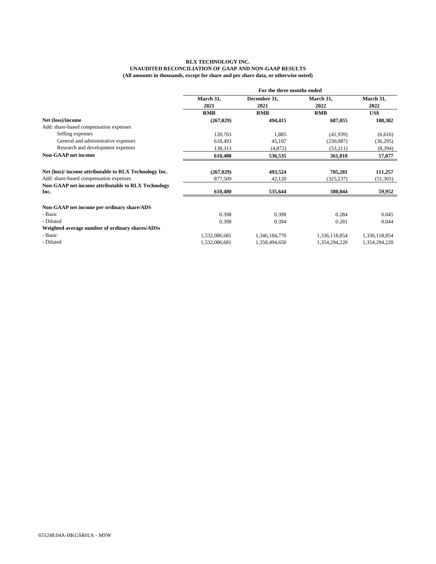#### **RLX TECHNOLOGY INC. UNAUDITED RECONCILIATION OF GAAP AND NON-GAAP RESULTS (All amounts in thousands, except for share and per share data, or otherwise noted)**

|                                                           | For the three months ended |               |               |               |
|-----------------------------------------------------------|----------------------------|---------------|---------------|---------------|
|                                                           | March 31,                  | December 31,  | March 31,     | March 31,     |
|                                                           | 2021                       | 2021          | 2022          | 2022          |
|                                                           | <b>RMB</b>                 | <b>RMB</b>    | <b>RMB</b>    | US\$          |
| Net (loss)/income                                         | (267, 029)                 | 494,415       | 687,055       | 108,382       |
| Add: share-based compensation expenses                    |                            |               |               |               |
| Selling expenses                                          | 120,703                    | 1,885         | (41,939)      | (6,616)       |
| General and administrative expenses                       | 618,493                    | 45,107        | (230,087)     | (36,295)      |
| Research and development expenses                         | 138,313                    | (4,872)       | (53,211)      | (8, 394)      |
| <b>Non-GAAP</b> net income                                | 610,480                    | 536,535       | 361,818       | 57,077        |
| Net (loss)/ income attributable to RLX Technology Inc.    | (267, 029)                 | 493,524       | 705,281       | 111,257       |
| Add: share-based compensation expenses                    | 877,509                    | 42,120        | (325, 237)    | (51,305)      |
| <b>Non-GAAP net income attributable to RLX Technology</b> |                            |               |               |               |
| Inc.                                                      | 610,480                    | 535,644       | 380,044       | 59,952        |
| Non-GAAP net income per ordinary share/ADS                |                            |               |               |               |
| - Basic                                                   | 0.398                      | 0.398         | 0.284         | 0.045         |
| - Diluted                                                 | 0.398                      | 0.394         | 0.281         | 0.044         |
| Weighted average number of ordinary shares/ADSs           |                            |               |               |               |
| - Basic                                                   | 1,532,086,681              | 1,346,184,770 | 1,336,118,854 | 1,336,118,854 |
| - Diluted                                                 | 1,532,086,681              | 1,358,494,650 | 1,354,294,220 | 1,354,294,220 |
|                                                           |                            |               |               |               |